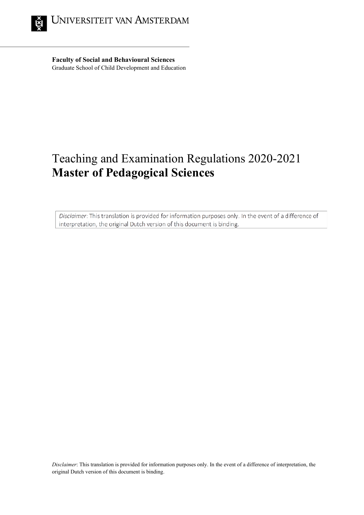

**Faculty of Social and Behavioural Sciences** Graduate School of Child Development and Education

# Teaching and Examination Regulations 2020-2021 **Master of Pedagogical Sciences**

Disclaimer: This translation is provided for information purposes only. In the event of a difference of interpretation, the original Dutch version of this document is binding.

*Disclaimer*: This translation is provided for information purposes only. In the event of a difference of interpretation, the original Dutch version of this document is binding.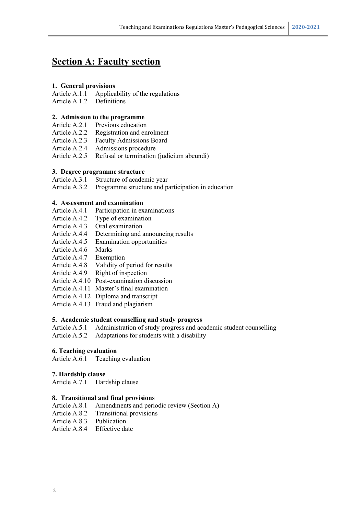# **Section A: Faculty section**

# **1. General provisions**

Article A.1.1 Applicability of the regulations

Article A.1.2 Definitions

# **2. Admission to the programme**

- Article A.2.1 Previous education
- Article A.2.2 Registration and enrolment<br>Article A.2.3 Faculty Admissions Board
- Faculty Admissions Board
- Article A.2.4 Admissions procedure
- Article A.2.5 Refusal or termination (judicium abeundi)

# **3. Degree programme structure**

Article A.3.1 Structure of academic year

Article A.3.2 Programme structure and participation in education

# **4. Assessment and examination**

- Article A.4.1 Participation in examinations
- Article A.4.2 Type of examination
- Article A.4.3 Oral examination
- Article A.4.4 Determining and announcing results
- Article A.4.5 Examination opportunities
- Article A.4.6 Marks
- Article A.4.7 Exemption
- Article A.4.8 Validity of period for results
- Article A.4.9 Right of inspection
- Article A.4.10 Post-examination discussion
- Article A.4.11 Master's final examination
- Article A.4.12 Diploma and transcript
- Article A.4.13 Fraud and plagiarism

# **5. Academic student counselling and study progress**

- Article A.5.1 Administration of study progress and academic student counselling
- Article A.5.2 Adaptations for students with a disability

# **6. Teaching evaluation**

Article A.6.1 Teaching evaluation

# **7. Hardship clause**

Article A.7.1 Hardship clause

# **8. Transitional and final provisions**

- Article A.8.1 Amendments and periodic review (Section A)
- Article A.8.2 Transitional provisions
- Article A.8.3 Publication
- Article A.8.4 Effective date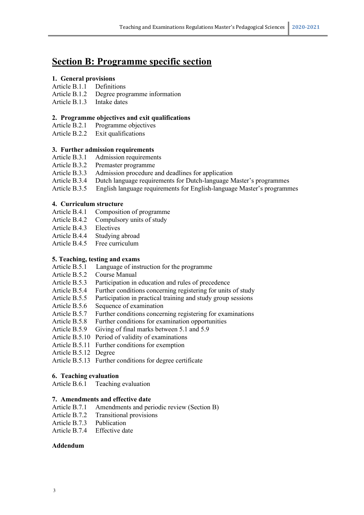# **Section B: Programme specific section**

# **1. General provisions**

## Article B.1.1 Definitions

- Article B.1.2 Degree programme information
- Article B.1.3 Intake dates

# **2. Programme objectives and exit qualifications**

Article B.2.1 Programme objectives

Article B.2.2 Exit qualifications

# **3. Further admission requirements**

- Article B.3.1 Admission requirements<br>Article B.3.2 Premaster programme
- Premaster programme
- Article B.3.3 Admission procedure and deadlines for application
- Article B.3.4 Dutch language requirements for Dutch-language Master's programmes
- Article B.3.5 English language requirements for English-language Master's programmes

# **4. Curriculum structure**

- Article B.4.1 Composition of programme
- Article B.4.2 Compulsory units of study
- Article B.4.3 Electives
- Article B.4.4 Studying abroad
- Article B.4.5 Free curriculum

# **5. Teaching, testing and exams**

- Article B.5.1 Language of instruction for the programme
- Article B.5.2 Course Manual
- Article B.5.3 Participation in education and rules of precedence
- Article B.5.4 Further conditions concerning registering for units of study
- Article B.5.5 Participation in practical training and study group sessions
- Article B.5.6 Sequence of examination
- Article B.5.7 Further conditions concerning registering for examinations
- Article B.5.8 Further conditions for examination opportunities
- Article B.5.9 Giving of final marks between 5.1 and 5.9
- Article B.5.10 Period of validity of examinations
- Article B.5.11 Further conditions for exemption
- Article B.5.12 Degree

Article B.5.13 Further conditions for degree certificate

# **6. Teaching evaluation**

Article B.6.1 Teaching evaluation

# **7. Amendments and effective date**

- Article B.7.1 Amendments and periodic review (Section B)
- Article B.7.2 Transitional provisions
- Article B.7.3 Publication
- Article B.7.4 Effective date

# **Addendum**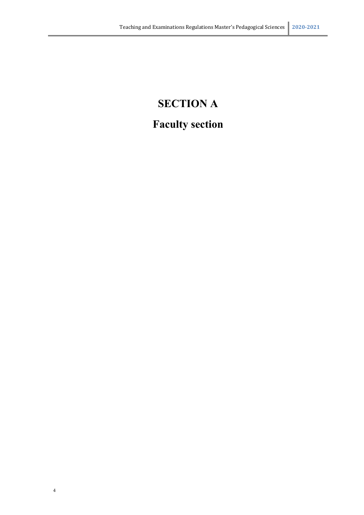# **SECTION A Faculty section**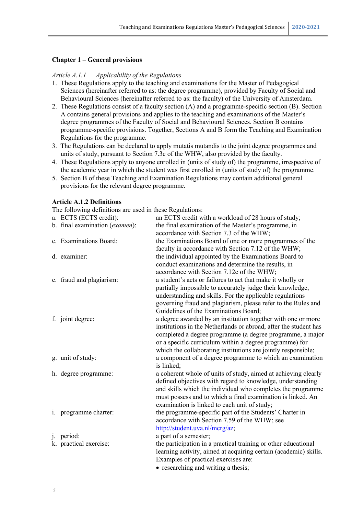#### **Chapter 1 – General provisions**

#### *Article A.1.1 Applicability of the Regulations*

- 1. These Regulations apply to the teaching and examinations for the Master of Pedagogical Sciences (hereinafter referred to as: the degree programme), provided by Faculty of Social and Behavioural Sciences (hereinafter referred to as: the faculty) of the University of Amsterdam.
- 2. These Regulations consist of a faculty section (A) and a programme-specific section (B). Section A contains general provisions and applies to the teaching and examinations of the Master's degree programmes of the Faculty of Social and Behavioural Sciences. Section B contains programme-specific provisions. Together, Sections A and B form the Teaching and Examination Regulations for the programme.
- 3. The Regulations can be declared to apply mutatis mutandis to the joint degree programmes and units of study, pursuant to Section 7.3c of the WHW, also provided by the faculty.
- 4. These Regulations apply to anyone enrolled in (units of study of) the programme, irrespective of the academic year in which the student was first enrolled in (units of study of) the programme.
- 5. Section B of these Teaching and Examination Regulations may contain additional general provisions for the relevant degree programme.

#### **Article A.1.2 Definitions**

The following definitions are used in these Regulations:

|       | a. ECTS (ECTS credit):         | an ECTS credit with a workload of 28 hours of study;             |
|-------|--------------------------------|------------------------------------------------------------------|
|       | b. final examination (examen): | the final examination of the Master's programme, in              |
|       |                                | accordance with Section 7.3 of the WHW;                          |
|       | c. Examinations Board:         | the Examinations Board of one or more programmes of the          |
|       |                                | faculty in accordance with Section 7.12 of the WHW;              |
|       | d. examiner:                   | the individual appointed by the Examinations Board to            |
|       |                                | conduct examinations and determine the results, in               |
|       |                                | accordance with Section 7.12c of the WHW;                        |
|       | e. fraud and plagiarism:       | a student's acts or failures to act that make it wholly or       |
|       |                                | partially impossible to accurately judge their knowledge,        |
|       |                                | understanding and skills. For the applicable regulations         |
|       |                                | governing fraud and plagiarism, please refer to the Rules and    |
|       |                                | Guidelines of the Examinations Board;                            |
|       | f. joint degree:               | a degree awarded by an institution together with one or more     |
|       |                                | institutions in the Netherlands or abroad, after the student has |
|       |                                | completed a degree programme (a degree programme, a major        |
|       |                                | or a specific curriculum within a degree programme) for          |
|       |                                | which the collaborating institutions are jointly responsible;    |
|       | g. unit of study:              | a component of a degree programme to which an examination        |
|       |                                | is linked;                                                       |
|       | h. degree programme:           | a coherent whole of units of study, aimed at achieving clearly   |
|       |                                | defined objectives with regard to knowledge, understanding       |
|       |                                | and skills which the individual who completes the programme      |
|       |                                | must possess and to which a final examination is linked. An      |
|       |                                | examination is linked to each unit of study;                     |
|       | i. programme charter:          | the programme-specific part of the Students' Charter in          |
|       |                                | accordance with Section 7.59 of the WHW; see                     |
|       | period:                        | http://student.uva.nl/mcrg/az;<br>a part of a semester;          |
| $j$ . | k. practical exercise:         | the participation in a practical training or other educational   |
|       |                                | learning activity, aimed at acquiring certain (academic) skills. |
|       |                                | Examples of practical exercises are:                             |
|       |                                | • researching and writing a thesis;                              |
|       |                                |                                                                  |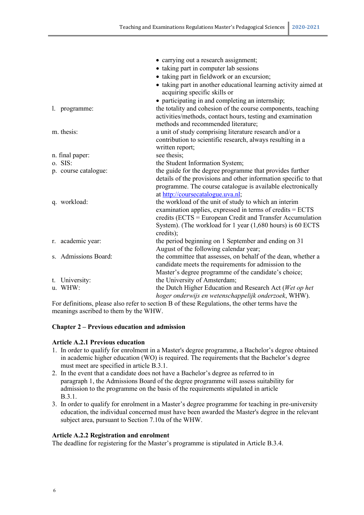|                      | • carrying out a research assignment;                            |
|----------------------|------------------------------------------------------------------|
|                      | • taking part in computer lab sessions                           |
|                      | • taking part in fieldwork or an excursion;                      |
|                      | • taking part in another educational learning activity aimed at  |
|                      | acquiring specific skills or                                     |
|                      | • participating in and completing an internship;                 |
| l. programme:        | the totality and cohesion of the course components, teaching     |
|                      | activities/methods, contact hours, testing and examination       |
|                      | methods and recommended literature;                              |
| m. thesis:           | a unit of study comprising literature research and/or a          |
|                      | contribution to scientific research, always resulting in a       |
|                      | written report;                                                  |
| n. final paper:      | see thesis;                                                      |
| o. SIS:              | the Student Information System;                                  |
| p. course catalogue: | the guide for the degree programme that provides further         |
|                      | details of the provisions and other information specific to that |
|                      | programme. The course catalogue is available electronically      |
|                      | at http://coursecatalogue.uva.nl;                                |
| q. workload:         | the workload of the unit of study to which an interim            |
|                      | examination applies, expressed in terms of credits = ECTS        |
|                      | credits (ECTS = European Credit and Transfer Accumulation        |
|                      | System). (The workload for 1 year (1,680 hours) is 60 ECTS       |
|                      | credits);                                                        |
| r. academic year:    | the period beginning on 1 September and ending on 31             |
|                      | August of the following calendar year;                           |
| s. Admissions Board: | the committee that assesses, on behalf of the dean, whether a    |
|                      | candidate meets the requirements for admission to the            |
|                      | Master's degree programme of the candidate's choice;             |
| t. University:       | the University of Amsterdam;                                     |
| u. WHW:              | the Dutch Higher Education and Research Act (Wet op het          |
|                      | hoger onderwijs en wetenschappelijk onderzoek, WHW).             |

For definitions, please also refer to section B of these Regulations, the other terms have the meanings ascribed to them by the WHW.

# **Chapter 2 – Previous education and admission**

#### **Article A.2.1 Previous education**

- 1. In order to qualify for enrolment in a Master's degree programme, a Bachelor's degree obtained in academic higher education (WO) is required. The requirements that the Bachelor's degree must meet are specified in article B.3.1.
- 2. In the event that a candidate does not have a Bachelor's degree as referred to in paragraph 1, the Admissions Board of the degree programme will assess suitability for admission to the programme on the basis of the requirements stipulated in article B.3.1.
- 3. In order to qualify for enrolment in a Master's degree programme for teaching in pre-university education, the individual concerned must have been awarded the Master's degree in the relevant subject area, pursuant to Section 7.10a of the WHW.

#### **Article A.2.2 Registration and enrolment**

The deadline for registering for the Master's programme is stipulated in Article B.3.4.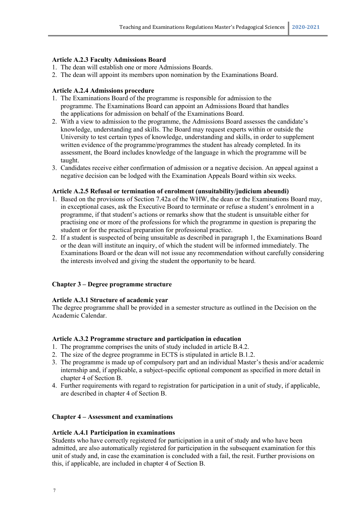#### **Article A.2.3 Faculty Admissions Board**

- 1. The dean will establish one or more Admissions Boards.
- 2. The dean will appoint its members upon nomination by the Examinations Board.

## **Article A.2.4 Admissions procedure**

- 1. The Examinations Board of the programme is responsible for admission to the programme. The Examinations Board can appoint an Admissions Board that handles the applications for admission on behalf of the Examinations Board.
- 2. With a view to admission to the programme, the Admissions Board assesses the candidate's knowledge, understanding and skills. The Board may request experts within or outside the University to test certain types of knowledge, understanding and skills, in order to supplement written evidence of the programme/programmes the student has already completed. In its assessment, the Board includes knowledge of the language in which the programme will be taught.
- 3. Candidates receive either confirmation of admission or a negative decision. An appeal against a negative decision can be lodged with the Examination Appeals Board within six weeks.

#### **Article A.2.5 Refusal or termination of enrolment (unsuitability/judicium abeundi)**

- 1. Based on the provisions of Section 7.42a of the WHW, the dean or the Examinations Board may, in exceptional cases, ask the Executive Board to terminate or refuse a student's enrolment in a programme, if that student's actions or remarks show that the student is unsuitable either for practising one or more of the professions for which the programme in question is preparing the student or for the practical preparation for professional practice.
- 2. If a student is suspected of being unsuitable as described in paragraph 1, the Examinations Board or the dean will institute an inquiry, of which the student will be informed immediately. The Examinations Board or the dean will not issue any recommendation without carefully considering the interests involved and giving the student the opportunity to be heard.

# **Chapter 3 – Degree programme structure**

#### **Article A.3.1 Structure of academic year**

The degree programme shall be provided in a semester structure as outlined in the Decision on the Academic Calendar.

#### **Article A.3.2 Programme structure and participation in education**

- 1. The programme comprises the units of study included in article B.4.2.
- 2. The size of the degree programme in ECTS is stipulated in article B.1.2.
- 3. The programme is made up of compulsory part and an individual Master's thesis and/or academic internship and, if applicable, a subject-specific optional component as specified in more detail in chapter 4 of Section B.
- 4. Further requirements with regard to registration for participation in a unit of study, if applicable, are described in chapter 4 of Section B.

#### **Chapter 4 – Assessment and examinations**

# **Article A.4.1 Participation in examinations**

Students who have correctly registered for participation in a unit of study and who have been admitted, are also automatically registered for participation in the subsequent examination for this unit of study and, in case the examination is concluded with a fail, the resit. Further provisions on this, if applicable, are included in chapter 4 of Section B.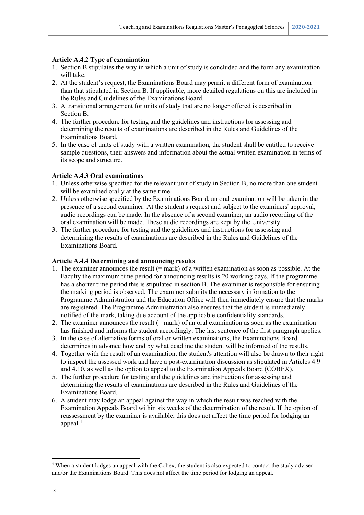## **Article A.4.2 Type of examination**

- 1. Section B stipulates the way in which a unit of study is concluded and the form any examination will take.
- 2. At the student's request, the Examinations Board may permit a different form of examination than that stipulated in Section B. If applicable, more detailed regulations on this are included in the Rules and Guidelines of the Examinations Board.
- 3. A transitional arrangement for units of study that are no longer offered is described in Section B.
- 4. The further procedure for testing and the guidelines and instructions for assessing and determining the results of examinations are described in the Rules and Guidelines of the Examinations Board.
- 5. In the case of units of study with a written examination, the student shall be entitled to receive sample questions, their answers and information about the actual written examination in terms of its scope and structure.

#### **Article A.4.3 Oral examinations**

- 1. Unless otherwise specified for the relevant unit of study in Section B, no more than one student will be examined orally at the same time.
- 2. Unless otherwise specified by the Examinations Board, an oral examination will be taken in the presence of a second examiner. At the student's request and subject to the examiners' approval, audio recordings can be made. In the absence of a second examiner, an audio recording of the oral examination will be made. These audio recordings are kept by the University.
- 3. The further procedure for testing and the guidelines and instructions for assessing and determining the results of examinations are described in the Rules and Guidelines of the Examinations Board.

#### **Article A.4.4 Determining and announcing results**

- 1. The examiner announces the result (= mark) of a written examination as soon as possible. At the Faculty the maximum time period for announcing results is 20 working days. If the programme has a shorter time period this is stipulated in section B. The examiner is responsible for ensuring the marking period is observed. The examiner submits the necessary information to the Programme Administration and the Education Office will then immediately ensure that the marks are registered. The Programme Administration also ensures that the student is immediately notified of the mark, taking due account of the applicable confidentiality standards.
- 2. The examiner announces the result (= mark) of an oral examination as soon as the examination has finished and informs the student accordingly. The last sentence of the first paragraph applies.
- 3. In the case of alternative forms of oral or written examinations, the Examinations Board determines in advance how and by what deadline the student will be informed of the results.
- 4. Together with the result of an examination, the student's attention will also be drawn to their right to inspect the assessed work and have a post-examination discussion as stipulated in Articles 4.9 and 4.10, as well as the option to appeal to the Examination Appeals Board (COBEX).
- 5. The further procedure for testing and the guidelines and instructions for assessing and determining the results of examinations are described in the Rules and Guidelines of the Examinations Board.
- 6. A student may lodge an appeal against the way in which the result was reached with the Examination Appeals Board within six weeks of the determination of the result. If the option of reassessment by the examiner is available, this does not affect the time period for lodging an appeal. $<sup>1</sup>$  $<sup>1</sup>$  $<sup>1</sup>$ </sup>

<span id="page-7-0"></span><sup>&</sup>lt;sup>1</sup> When a student lodges an appeal with the Cobex, the student is also expected to contact the study adviser and/or the Examinations Board. This does not affect the time period for lodging an appeal.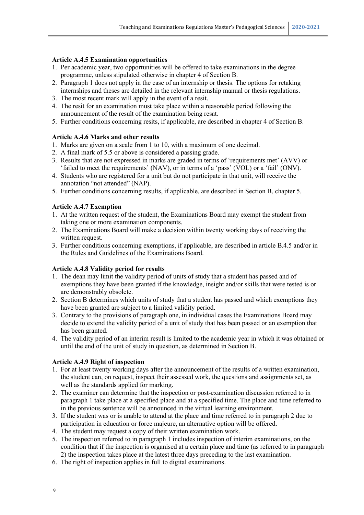# **Article A.4.5 Examination opportunities**

- 1. Per academic year, two opportunities will be offered to take examinations in the degree programme, unless stipulated otherwise in chapter 4 of Section B.
- 2. Paragraph 1 does not apply in the case of an internship or thesis. The options for retaking internships and theses are detailed in the relevant internship manual or thesis regulations.
- 3. The most recent mark will apply in the event of a resit.
- 4. The resit for an examination must take place within a reasonable period following the announcement of the result of the examination being resat.
- 5. Further conditions concerning resits, if applicable, are described in chapter 4 of Section B.

# **Article A.4.6 Marks and other results**

- 1. Marks are given on a scale from 1 to 10, with a maximum of one decimal.
- 2. A final mark of 5.5 or above is considered a passing grade.
- 3. Results that are not expressed in marks are graded in terms of 'requirements met' (AVV) or 'failed to meet the requirements' (NAV), or in terms of a 'pass' (VOL) or a 'fail' (ONV).
- 4. Students who are registered for a unit but do not participate in that unit, will receive the annotation "not attended" (NAP).
- 5. Further conditions concerning results, if applicable, are described in Section B, chapter 5.

# **Article A.4.7 Exemption**

- 1. At the written request of the student, the Examinations Board may exempt the student from taking one or more examination components.
- 2. The Examinations Board will make a decision within twenty working days of receiving the written request.
- 3. Further conditions concerning exemptions, if applicable, are described in article B.4.5 and/or in the Rules and Guidelines of the Examinations Board.

# **Article A.4.8 Validity period for results**

- 1. The dean may limit the validity period of units of study that a student has passed and of exemptions they have been granted if the knowledge, insight and/or skills that were tested is or are demonstrably obsolete.
- 2. Section B determines which units of study that a student has passed and which exemptions they have been granted are subject to a limited validity period.
- 3. Contrary to the provisions of paragraph one, in individual cases the Examinations Board may decide to extend the validity period of a unit of study that has been passed or an exemption that has been granted.
- 4. The validity period of an interim result is limited to the academic year in which it was obtained or until the end of the unit of study in question, as determined in Section B.

# **Article A.4.9 Right of inspection**

- 1. For at least twenty working days after the announcement of the results of a written examination, the student can, on request, inspect their assessed work, the questions and assignments set, as well as the standards applied for marking.
- 2. The examiner can determine that the inspection or post-examination discussion referred to in paragraph 1 take place at a specified place and at a specified time. The place and time referred to in the previous sentence will be announced in the virtual learning environment.
- 3. If the student was or is unable to attend at the place and time referred to in paragraph 2 due to participation in education or force majeure, an alternative option will be offered.
- 4. The student may request a copy of their written examination work.
- 5. The inspection referred to in paragraph 1 includes inspection of interim examinations, on the condition that if the inspection is organised at a certain place and time (as referred to in paragraph 2) the inspection takes place at the latest three days preceding to the last examination.
- 6. The right of inspection applies in full to digital examinations.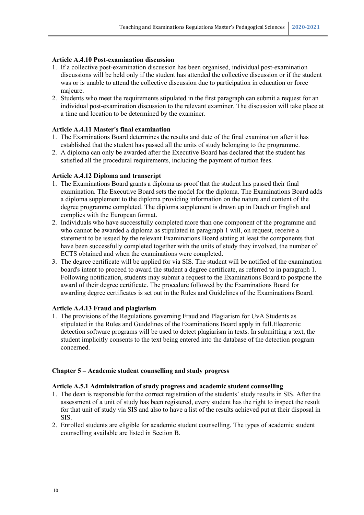# **Article A.4.10 Post-examination discussion**

- 1. If a collective post-examination discussion has been organised, individual post-examination discussions will be held only if the student has attended the collective discussion or if the student was or is unable to attend the collective discussion due to participation in education or force majeure.
- 2. Students who meet the requirements stipulated in the first paragraph can submit a request for an individual post-examination discussion to the relevant examiner. The discussion will take place at a time and location to be determined by the examiner.

# **Article A.4.11 Master's final examination**

- 1. The Examinations Board determines the results and date of the final examination after it has established that the student has passed all the units of study belonging to the programme.
- 2. A diploma can only be awarded after the Executive Board has declared that the student has satisfied all the procedural requirements, including the payment of tuition fees.

# **Article A.4.12 Diploma and transcript**

- 1. The Examinations Board grants a diploma as proof that the student has passed their final examination. The Executive Board sets the model for the diploma. The Examinations Board adds a diploma supplement to the diploma providing information on the nature and content of the degree programme completed. The diploma supplement is drawn up in Dutch or English and complies with the European format.
- 2. Individuals who have successfully completed more than one component of the programme and who cannot be awarded a diploma as stipulated in paragraph 1 will, on request, receive a statement to be issued by the relevant Examinations Board stating at least the components that have been successfully completed together with the units of study they involved, the number of ECTS obtained and when the examinations were completed.
- 3. The degree certificate will be applied for via SIS. The student will be notified of the examination board's intent to proceed to award the student a degree certificate, as referred to in paragraph 1. Following notification, students may submit a request to the Examinations Board to postpone the award of their degree certificate. The procedure followed by the Examinations Board for awarding degree certificates is set out in the Rules and Guidelines of the Examinations Board.

# **Article A.4.13 Fraud and plagiarism**

1. The provisions of the Regulations governing Fraud and Plagiarism for UvA Students as stipulated in the Rules and Guidelines of the Examinations Board apply in full.Electronic detection software programs will be used to detect plagiarism in texts. In submitting a text, the student implicitly consents to the text being entered into the database of the detection program concerned.

# **Chapter 5 – Academic student counselling and study progress**

# **Article A.5.1 Administration of study progress and academic student counselling**

- 1. The dean is responsible for the correct registration of the students' study results in SIS. After the assessment of a unit of study has been registered, every student has the right to inspect the result for that unit of study via SIS and also to have a list of the results achieved put at their disposal in SIS.
- 2. Enrolled students are eligible for academic student counselling. The types of academic student counselling available are listed in Section B.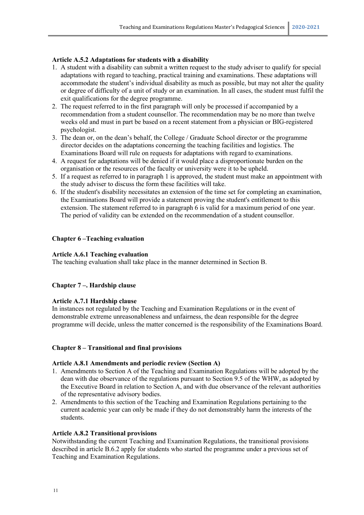# **Article A.5.2 Adaptations for students with a disability**

- 1. A student with a disability can submit a written request to the study adviser to qualify for special adaptations with regard to teaching, practical training and examinations. These adaptations will accommodate the student's individual disability as much as possible, but may not alter the quality or degree of difficulty of a unit of study or an examination. In all cases, the student must fulfil the exit qualifications for the degree programme.
- 2. The request referred to in the first paragraph will only be processed if accompanied by a recommendation from a student counsellor. The recommendation may be no more than twelve weeks old and must in part be based on a recent statement from a physician or BIG-registered psychologist.
- 3. The dean or, on the dean's behalf, the College / Graduate School director or the programme director decides on the adaptations concerning the teaching facilities and logistics. The Examinations Board will rule on requests for adaptations with regard to examinations.
- 4. A request for adaptations will be denied if it would place a disproportionate burden on the organisation or the resources of the faculty or university were it to be upheld.
- 5. If a request as referred to in paragraph 1 is approved, the student must make an appointment with the study adviser to discuss the form these facilities will take.
- 6. If the student's disability necessitates an extension of the time set for completing an examination, the Examinations Board will provide a statement proving the student's entitlement to this extension. The statement referred to in paragraph 6 is valid for a maximum period of one year. The period of validity can be extended on the recommendation of a student counsellor.

#### **Chapter 6 –Teaching evaluation**

#### **Article A.6.1 Teaching evaluation**

The teaching evaluation shall take place in the manner determined in Section B.

# **Chapter 7 –. Hardship clause**

#### **Article A.7.1 Hardship clause**

In instances not regulated by the Teaching and Examination Regulations or in the event of demonstrable extreme unreasonableness and unfairness, the dean responsible for the degree programme will decide, unless the matter concerned is the responsibility of the Examinations Board.

#### **Chapter 8 – Transitional and final provisions**

#### **Article A.8.1 Amendments and periodic review (Section A)**

- 1. Amendments to Section A of the Teaching and Examination Regulations will be adopted by the dean with due observance of the regulations pursuant to Section 9.5 of the WHW, as adopted by the Executive Board in relation to Section A, and with due observance of the relevant authorities of the representative advisory bodies.
- 2. Amendments to this section of the Teaching and Examination Regulations pertaining to the current academic year can only be made if they do not demonstrably harm the interests of the students.

#### **Article A.8.2 Transitional provisions**

Notwithstanding the current Teaching and Examination Regulations, the transitional provisions described in article B.6.2 apply for students who started the programme under a previous set of Teaching and Examination Regulations.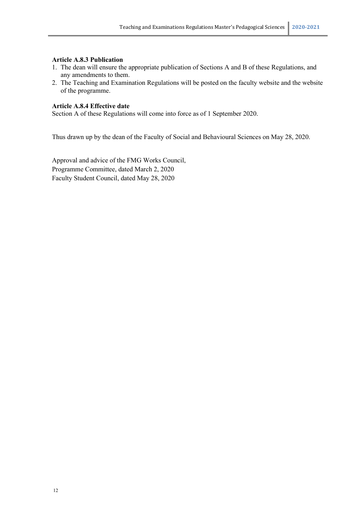#### **Article A.8.3 Publication**

- 1. The dean will ensure the appropriate publication of Sections A and B of these Regulations, and any amendments to them.
- 2. The Teaching and Examination Regulations will be posted on the faculty website and the website of the programme.

# **Article A.8.4 Effective date**

Section A of these Regulations will come into force as of 1 September 2020.

Thus drawn up by the dean of the Faculty of Social and Behavioural Sciences on May 28, 2020.

Approval and advice of the FMG Works Council, Programme Committee, dated March 2, 2020 Faculty Student Council, dated May 28, 2020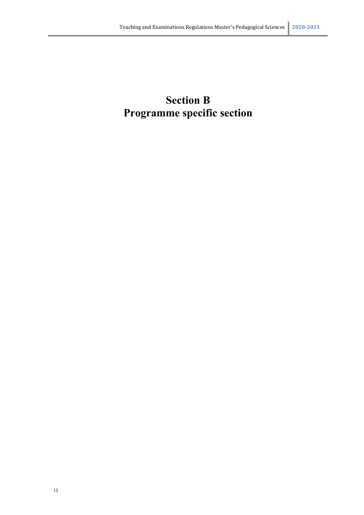# **Section B Programme specific section**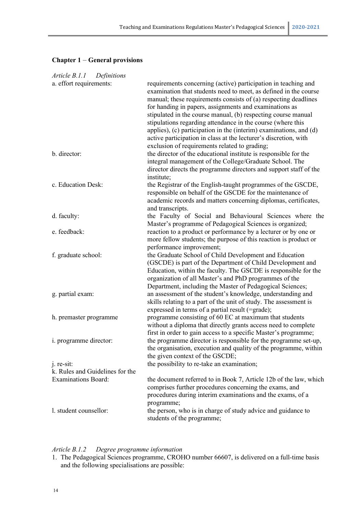# **Chapter 1** – **General provisions**

| Article B.1.1 Definitions                                     |                                                                                                                                                                                                                                                                                                                                                                                                                                                                                                                                                                                            |
|---------------------------------------------------------------|--------------------------------------------------------------------------------------------------------------------------------------------------------------------------------------------------------------------------------------------------------------------------------------------------------------------------------------------------------------------------------------------------------------------------------------------------------------------------------------------------------------------------------------------------------------------------------------------|
| a. effort requirements:                                       | requirements concerning (active) participation in teaching and<br>examination that students need to meet, as defined in the course<br>manual; these requirements consists of (a) respecting deadlines<br>for handing in papers, assignments and examinations as<br>stipulated in the course manual, (b) respecting course manual<br>stipulations regarding attendance in the course (where this<br>applies), (c) participation in the (interim) examinations, and (d)<br>active participation in class at the lecturer's discretion, with<br>exclusion of requirements related to grading; |
| b. director:                                                  | the director of the educational institute is responsible for the<br>integral management of the College/Graduate School. The<br>director directs the programme directors and support staff of the<br>institute;                                                                                                                                                                                                                                                                                                                                                                             |
| c. Education Desk:                                            | the Registrar of the English-taught programmes of the GSCDE,<br>responsible on behalf of the GSCDE for the maintenance of<br>academic records and matters concerning diplomas, certificates,<br>and transcripts.                                                                                                                                                                                                                                                                                                                                                                           |
| d. faculty:                                                   | the Faculty of Social and Behavioural Sciences where the<br>Master's programme of Pedagogical Sciences is organized;                                                                                                                                                                                                                                                                                                                                                                                                                                                                       |
| e. feedback:                                                  | reaction to a product or performance by a lecturer or by one or<br>more fellow students; the purpose of this reaction is product or<br>performance improvement;                                                                                                                                                                                                                                                                                                                                                                                                                            |
| f. graduate school:                                           | the Graduate School of Child Development and Education<br>(GSCDE) is part of the Department of Child Development and<br>Education, within the faculty. The GSCDE is responsible for the<br>organization of all Master's and PhD programmes of the<br>Department, including the Master of Pedagogical Sciences;                                                                                                                                                                                                                                                                             |
| g. partial exam:                                              | an assessment of the student's knowledge, understanding and<br>skills relating to a part of the unit of study. The assessment is<br>expressed in terms of a partial result (=grade);                                                                                                                                                                                                                                                                                                                                                                                                       |
| h. premaster programme                                        | programme consisting of 60 EC at maximum that students<br>without a diploma that directly grants access need to complete<br>first in order to gain access to a specific Master's programme;                                                                                                                                                                                                                                                                                                                                                                                                |
| i. programme director:                                        | the programme director is responsible for the programme set-up,<br>the organisation, execution and quality of the programme, within<br>the given context of the GSCDE;                                                                                                                                                                                                                                                                                                                                                                                                                     |
| j. re-sit:                                                    | the possibility to re-take an examination;                                                                                                                                                                                                                                                                                                                                                                                                                                                                                                                                                 |
| k. Rules and Guidelines for the<br><b>Examinations Board:</b> | the document referred to in Book 7, Article 12b of the law, which<br>comprises further procedures concerning the exams, and<br>procedures during interim examinations and the exams, of a                                                                                                                                                                                                                                                                                                                                                                                                  |
| l. student counsellor:                                        | programme;<br>the person, who is in charge of study advice and guidance to<br>students of the programme;                                                                                                                                                                                                                                                                                                                                                                                                                                                                                   |

# *Article B.1.2 Degree programme information*

<sup>1.</sup> The Pedagogical Sciences programme, CROHO number 66607, is delivered on a full-time basis and the following specialisations are possible: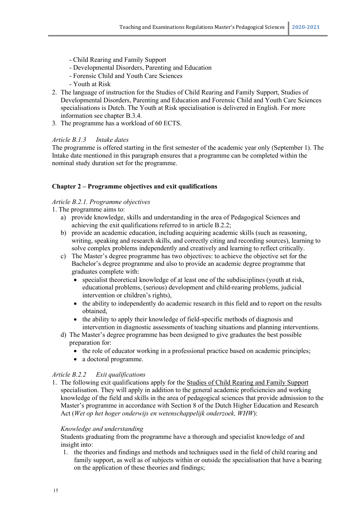- Child Rearing and Family Support
- Developmental Disorders, Parenting and Education
- Forensic Child and Youth Care Sciences
- Youth at Risk
- 2. The language of instruction for the Studies of Child Rearing and Family Support, Studies of Developmental Disorders, Parenting and Education and Forensic Child and Youth Care Sciences specialisations is Dutch. The Youth at Risk specialisation is delivered in English. For more information see chapter B.3.4.
- 3*.* The programme has a workload of 60 ECTS.

# *Article B.1.3 Intake dates*

The programme is offered starting in the first semester of the academic year only (September 1). The Intake date mentioned in this paragraph ensures that a programme can be completed within the nominal study duration set for the programme.

# **Chapter 2 – Programme objectives and exit qualifications**

# *Article B.2.1. Programme objectives*

- 1. The programme aims to:
	- a) provide knowledge, skills and understanding in the area of Pedagogical Sciences and achieving the exit qualifications referred to in article B.2.2;
	- b) provide an academic education, including acquiring academic skills (such as reasoning, writing, speaking and research skills, and correctly citing and recording sources), learning to solve complex problems independently and creatively and learning to reflect critically.
	- c) The Master's degree programme has two objectives: to achieve the objective set for the Bachelor's degree programme and also to provide an academic degree programme that graduates complete with:
		- specialist theoretical knowledge of at least one of the subdisciplines (youth at risk, educational problems, (serious) development and child-rearing problems, judicial intervention or children's rights),
		- the ability to independently do academic research in this field and to report on the results obtained,
		- the ability to apply their knowledge of field-specific methods of diagnosis and intervention in diagnostic assessments of teaching situations and planning interventions.
	- d) The Master's degree programme has been designed to give graduates the best possible preparation for:
		- the role of educator working in a professional practice based on academic principles;
		- a doctoral programme.

# *Article B.2.2 Exit qualifications*

1. The following exit qualifications apply for the Studies of Child Rearing and Family Support specialisation. They will apply in addition to the general academic proficiencies and working knowledge of the field and skills in the area of pedagogical sciences that provide admission to the Master's programme in accordance with Section 8 of the Dutch Higher Education and Research Act (*Wet op het hoger onderwijs en wetenschappelijk onderzoek, WHW*):

# *Knowledge and understanding*

Students graduating from the programme have a thorough and specialist knowledge of and insight into:

1. the theories and findings and methods and techniques used in the field of child rearing and family support, as well as of subjects within or outside the specialisation that have a bearing on the application of these theories and findings;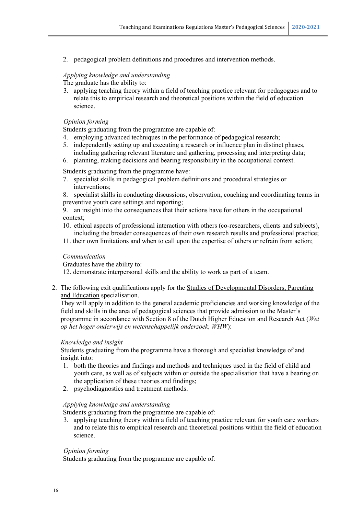2. pedagogical problem definitions and procedures and intervention methods.

#### *Applying knowledge and understanding*

The graduate has the ability to:

3. applying teaching theory within a field of teaching practice relevant for pedagogues and to relate this to empirical research and theoretical positions within the field of education science.

#### *Opinion forming*

Students graduating from the programme are capable of:

- 4. employing advanced techniques in the performance of pedagogical research;
- 5. independently setting up and executing a research or influence plan in distinct phases, including gathering relevant literature and gathering, processing and interpreting data;
- 6. planning, making decisions and bearing responsibility in the occupational context.

Students graduating from the programme have:

- 7. specialist skills in pedagogical problem definitions and procedural strategies or interventions;
- 8. specialist skills in conducting discussions, observation, coaching and coordinating teams in preventive youth care settings and reporting;

9. an insight into the consequences that their actions have for others in the occupational context;

- 10. ethical aspects of professional interaction with others (co-researchers, clients and subjects), including the broader consequences of their own research results and professional practice;
- 11. their own limitations and when to call upon the expertise of others or refrain from action;

#### *Communication*

Graduates have the ability to:

12. demonstrate interpersonal skills and the ability to work as part of a team.

2. The following exit qualifications apply for the Studies of Developmental Disorders, Parenting and Education specialisation.

They will apply in addition to the general academic proficiencies and working knowledge of the field and skills in the area of pedagogical sciences that provide admission to the Master's programme in accordance with Section 8 of the Dutch Higher Education and Research Act (*Wet op het hoger onderwijs en wetenschappelijk onderzoek, WHW*):

#### *Knowledge and insight*

Students graduating from the programme have a thorough and specialist knowledge of and insight into:

- 1. both the theories and findings and methods and techniques used in the field of child and youth care, as well as of subjects within or outside the specialisation that have a bearing on the application of these theories and findings;
- 2. psychodiagnostics and treatment methods.

# *Applying knowledge and understanding*

Students graduating from the programme are capable of:

3. applying teaching theory within a field of teaching practice relevant for youth care workers and to relate this to empirical research and theoretical positions within the field of education science.

# *Opinion forming*

Students graduating from the programme are capable of: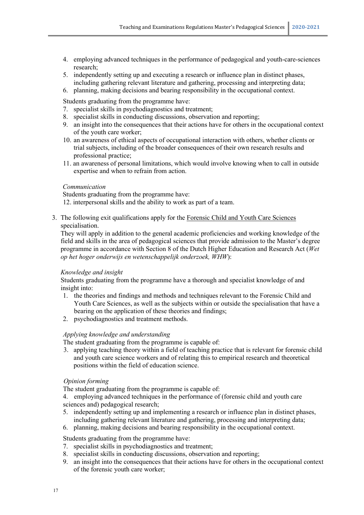- 4. employing advanced techniques in the performance of pedagogical and youth-care-sciences research;
- 5. independently setting up and executing a research or influence plan in distinct phases, including gathering relevant literature and gathering, processing and interpreting data;
- 6. planning, making decisions and bearing responsibility in the occupational context.

Students graduating from the programme have:

- 7. specialist skills in psychodiagnostics and treatment;
- 8. specialist skills in conducting discussions, observation and reporting;
- 9. an insight into the consequences that their actions have for others in the occupational context of the youth care worker;
- 10. an awareness of ethical aspects of occupational interaction with others, whether clients or trial subjects, including of the broader consequences of their own research results and professional practice;
- 11. an awareness of personal limitations, which would involve knowing when to call in outside expertise and when to refrain from action.

#### *Communication*

Students graduating from the programme have:

12. interpersonal skills and the ability to work as part of a team.

3. The following exit qualifications apply for the Forensic Child and Youth Care Sciences specialisation.

They will apply in addition to the general academic proficiencies and working knowledge of the field and skills in the area of pedagogical sciences that provide admission to the Master's degree programme in accordance with Section 8 of the Dutch Higher Education and Research Act (*Wet op het hoger onderwijs en wetenschappelijk onderzoek, WHW*):

# *Knowledge and insight*

Students graduating from the programme have a thorough and specialist knowledge of and insight into:

- 1. the theories and findings and methods and techniques relevant to the Forensic Child and Youth Care Sciences, as well as the subjects within or outside the specialisation that have a bearing on the application of these theories and findings;
- 2. psychodiagnostics and treatment methods.

# *Applying knowledge and understanding*

The student graduating from the programme is capable of:

3. applying teaching theory within a field of teaching practice that is relevant for forensic child and youth care science workers and of relating this to empirical research and theoretical positions within the field of education science.

# *Opinion forming*

The student graduating from the programme is capable of:

4. employing advanced techniques in the performance of (forensic child and youth care sciences and) pedagogical research;

5. independently setting up and implementing a research or influence plan in distinct phases, including gathering relevant literature and gathering, processing and interpreting data;

6. planning, making decisions and bearing responsibility in the occupational context.

Students graduating from the programme have:

- 7. specialist skills in psychodiagnostics and treatment;
- 8. specialist skills in conducting discussions, observation and reporting;
- 9. an insight into the consequences that their actions have for others in the occupational context of the forensic youth care worker;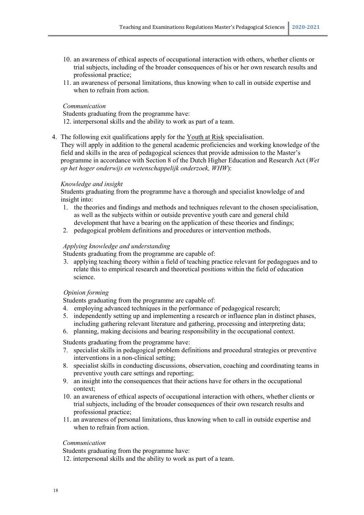- 10. an awareness of ethical aspects of occupational interaction with others, whether clients or trial subjects, including of the broader consequences of his or her own research results and professional practice;
- 11. an awareness of personal limitations, thus knowing when to call in outside expertise and when to refrain from action.

#### *Communication*

Students graduating from the programme have:

- 12. interpersonal skills and the ability to work as part of a team.
- 4. The following exit qualifications apply for the Youth at Risk specialisation.

They will apply in addition to the general academic proficiencies and working knowledge of the field and skills in the area of pedagogical sciences that provide admission to the Master's programme in accordance with Section 8 of the Dutch Higher Education and Research Act (*Wet op het hoger onderwijs en wetenschappelijk onderzoek, WHW*):

# *Knowledge and insight*

Students graduating from the programme have a thorough and specialist knowledge of and insight into:

- 1. the theories and findings and methods and techniques relevant to the chosen specialisation, as well as the subjects within or outside preventive youth care and general child development that have a bearing on the application of these theories and findings;
- 2. pedagogical problem definitions and procedures or intervention methods.

#### *Applying knowledge and understanding*

Students graduating from the programme are capable of:

3. applying teaching theory within a field of teaching practice relevant for pedagogues and to relate this to empirical research and theoretical positions within the field of education science.

# *Opinion forming*

Students graduating from the programme are capable of:

- 4. employing advanced techniques in the performance of pedagogical research;
- 5. independently setting up and implementing a research or influence plan in distinct phases, including gathering relevant literature and gathering, processing and interpreting data;
- 6. planning, making decisions and bearing responsibility in the occupational context.

Students graduating from the programme have:

- 7. specialist skills in pedagogical problem definitions and procedural strategies or preventive interventions in a non-clinical setting;
- 8. specialist skills in conducting discussions, observation, coaching and coordinating teams in preventive youth care settings and reporting;
- 9. an insight into the consequences that their actions have for others in the occupational context;
- 10. an awareness of ethical aspects of occupational interaction with others, whether clients or trial subjects, including of the broader consequences of their own research results and professional practice;
- 11. an awareness of personal limitations, thus knowing when to call in outside expertise and when to refrain from action.

#### *Communication*

Students graduating from the programme have:

12. interpersonal skills and the ability to work as part of a team.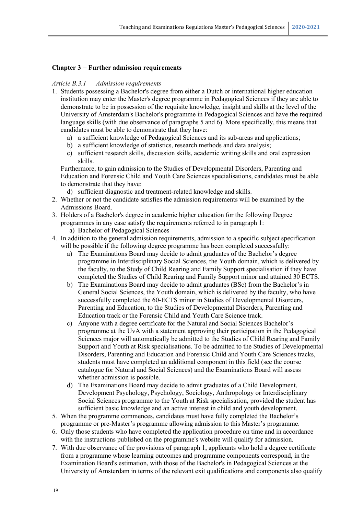# **Chapter 3** – **Further admission requirements**

#### *Article B.3.1 Admission requirements*

- 1. Students possessing a Bachelor's degree from either a Dutch or international higher education institution may enter the Master's degree programme in Pedagogical Sciences if they are able to demonstrate to be in possession of the requisite knowledge, insight and skills at the level of the University of Amsterdam's Bachelor's programme in Pedagogical Sciences and have the required language skills (with due observance of paragraphs 5 and 6). More specifically, this means that candidates must be able to demonstrate that they have:
	- a) a sufficient knowledge of Pedagogical Sciences and its sub-areas and applications;
	- b) a sufficient knowledge of statistics, research methods and data analysis;
	- c) sufficient research skills, discussion skills, academic writing skills and oral expression skills.

Furthermore, to gain admission to the Studies of Developmental Disorders, Parenting and Education and Forensic Child and Youth Care Sciences specialisations, candidates must be able to demonstrate that they have:

- d) sufficient diagnostic and treatment-related knowledge and skills.
- 2. Whether or not the candidate satisfies the admission requirements will be examined by the Admissions Board.
- 3. Holders of a Bachelor's degree in academic higher education for the following Degree programmes in any case satisfy the requirements referred to in paragraph 1:
	- a) Bachelor of Pedagogical Sciences
- 4. In addition to the general admission requirements, admission to a specific subject specification will be possible if the following degree programme has been completed successfully:
	- a) The Examinations Board may decide to admit graduates of the Bachelor's degree programme in Interdisciplinary Social Sciences, the Youth domain, which is delivered by the faculty, to the Study of Child Rearing and Family Support specialisation if they have completed the Studies of Child Rearing and Family Support minor and attained 30 ECTS.
	- b) The Examinations Board may decide to admit graduates (BSc) from the Bachelor's in General Social Sciences, the Youth domain, which is delivered by the faculty, who have successfully completed the 60-ECTS minor in Studies of Developmental Disorders, Parenting and Education, to the Studies of Developmental Disorders, Parenting and Education track or the Forensic Child and Youth Care Science track.
	- c) Anyone with a degree certificate for the Natural and Social Sciences Bachelor's programme at the UvA with a statement approving their participation in the Pedagogical Sciences major will automatically be admitted to the Studies of Child Rearing and Family Support and Youth at Risk specialisations. To be admitted to the Studies of Developmental Disorders, Parenting and Education and Forensic Child and Youth Care Sciences tracks, students must have completed an additional component in this field (see the course catalogue for Natural and Social Sciences) and the Examinations Board will assess whether admission is possible.
	- d) The Examinations Board may decide to admit graduates of a Child Development, Development Psychology, Psychology, Sociology, Anthropology or Interdisciplinary Social Sciences programme to the Youth at Risk specialisation, provided the student has sufficient basic knowledge and an active interest in child and youth development.
- 5. When the programme commences, candidates must have fully completed the Bachelor's programme or pre-Master's programme allowing admission to this Master's programme.
- 6. Only those students who have completed the application procedure on time and in accordance with the instructions published on the programme's website will qualify for admission.
- 7. With due observance of the provisions of paragraph 1, applicants who hold a degree certificate from a programme whose learning outcomes and programme components correspond, in the Examination Board's estimation, with those of the Bachelor's in Pedagogical Sciences at the University of Amsterdam in terms of the relevant exit qualifications and components also qualify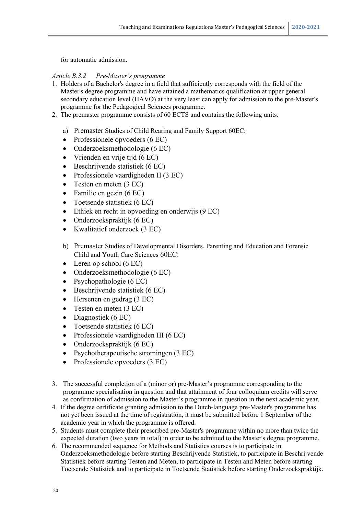for automatic admission.

# *Article B.3.2 Pre-Master's programme*

- 1. Holders of a Bachelor's degree in a field that sufficiently corresponds with the field of the Master's degree programme and have attained a mathematics qualification at upper general secondary education level (HAVO) at the very least can apply for admission to the pre-Master's programme for the Pedagogical Sciences programme.
- 2. The premaster programme consists of 60 ECTS and contains the following units:
	- a) Premaster Studies of Child Rearing and Family Support 60EC:
	- Professionele opvoeders (6 EC)
	- Onderzoeksmethodologie (6 EC)
	- Vrienden en vrije tijd (6 EC)
	- Beschrijvende statistiek (6 EC)
	- Professionele vaardigheden II (3 EC)
	- Testen en meten  $(3 \text{ EC})$
	- Familie en gezin (6 EC)
	- Toetsende statistiek (6 EC)
	- Ethiek en recht in opvoeding en onderwijs (9 EC)
	- Onderzoekspraktijk (6 EC)
	- Kwalitatief onderzoek (3 EC)
	- b) Premaster Studies of Developmental Disorders, Parenting and Education and Forensic Child and Youth Care Sciences 60EC:
	- Leren op school (6 EC)
	- Onderzoeksmethodologie (6 EC)
	- Psychopathologie (6 EC)
	- Beschrijvende statistiek (6 EC)
	- Hersenen en gedrag (3 EC)
	- Testen en meten (3 EC)
	- Diagnostiek (6 EC)
	- Toetsende statistiek (6 EC)
	- Professionele vaardigheden III (6 EC)
	- Onderzoekspraktijk (6 EC)
	- Psychotherapeutische stromingen (3 EC)
	- Professionele opvoeders (3 EC)
- 3. The successful completion of a (minor or) pre-Master's programme corresponding to the programme specialisation in question and that attainment of four colloquium credits will serve as confirmation of admission to the Master's programme in question in the next academic year.
- 4. If the degree certificate granting admission to the Dutch-language pre-Master's programme has not yet been issued at the time of registration, it must be submitted before 1 September of the academic year in which the programme is offered.
- 5. Students must complete their prescribed pre-Master's programme within no more than twice the expected duration (two years in total) in order to be admitted to the Master's degree programme.
- 6. The recommended sequence for Methods and Statistics courses is to participate in Onderzoeksmethodologie before starting Beschrijvende Statistiek, to participate in Beschrijvende Statistiek before starting Testen and Meten, to participate in Testen and Meten before starting Toetsende Statistiek and to participate in Toetsende Statistiek before starting Onderzoekspraktijk.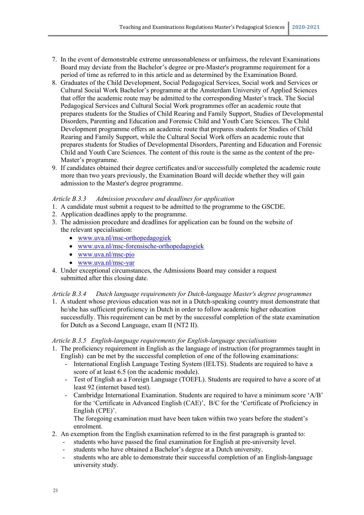- 7. In the event of demonstrable extreme unreasonableness or unfairness, the relevant Examinations Board may deviate from the Bachelor's degree or pre-Master's programme requirement for a period of time as referred to in this article and as determined by the Examination Board.
- 8. Graduates of the Child Development, Social Pedagogical Services, Social work and Services or Cultural Social Work Bachelor's programme at the Amsterdam University of Applied Sciences that offer the academic route may be admitted to the corresponding Master's track. The Social Pedagogical Services and Cultural Social Work programmes offer an academic route that prepares students for the Studies of Child Rearing and Family Support, Studies of Developmental Disorders, Parenting and Education and Forensic Child and Youth Care Sciences. The Child Development programme offers an academic route that prepares students for Studies of Child Rearing and Family Support, while the Cultural Social Work offers an academic route that prepares students for Studies of Developmental Disorders, Parenting and Education and Forensic Child and Youth Care Sciences. The content of this route is the same as the content of the pre-Master's programme.
- 9. If candidates obtained their degree certificates and/or successfully completed the academic route more than two years previously, the Examination Board will decide whether they will gain admission to the Master's degree programme.

# *Article B.3.3 Admission procedure and deadlines for application*

- 1. A candidate must submit a request to be admitted to the programme to the GSCDE.
- 2. Application deadlines apply to the programme.
- 3. The admission procedure and deadlines for application can be found on the website of the relevant specialisation:
	- [www.uva.nl/msc-orthopedagogiek](http://www.uva.nl/msc-orthopedagogiek)
	- [www.uva.nl/msc-forensische-orthopedagogiek](http://www.uva.nl/msc-forensische-orthopedagogiek)
	- [www.uva.nl/msc-pjo](http://www.uva.nl/msc-pjo)
	- [www.uva.nl/msc-yar](http://www.uva.nl/msc-yar)
- 4. Under exceptional circumstances, the Admissions Board may consider a request submitted after this closing date.

# *Article B.3.4 Dutch language requirements for Dutch-language Master's degree programmes*

1. A student whose previous education was not in a Dutch-speaking country must demonstrate that he/she has sufficient proficiency in Dutch in order to follow academic higher education successfully. This requirement can be met by the successful completion of the state examination for Dutch as a Second Language, exam II (NT2 II).

# *Article B.3.5 English-language requirements for English-language specialisations*

- 1. The proficiency requirement in English as the language of instruction (for programmes taught in English) can be met by the successful completion of one of the following examinations:
	- International English Language Testing System (IELTS). Students are required to have a score of at least 6.5 (on the academic module).
	- Test of English as a Foreign Language (TOEFL). Students are required to have a score of at least 92 (internet based test).
	- Cambridge International Examination. Students are required to have a minimum score 'A/B' for the 'Certificate in Advanced English (CAE)', B/C for the 'Certificate of Proficiency in English (CPE)'.

The foregoing examination must have been taken within two years before the student's enrolment.

- 2. An exemption from the English examination referred to in the first paragraph is granted to:
	- students who have passed the final examination for English at pre-university level.
	- students who have obtained a Bachelor's degree at a Dutch university.
	- students who are able to demonstrate their successful completion of an English-language university study.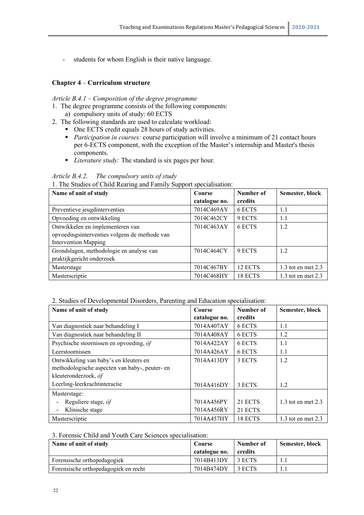- students for whom English is their native language.

# **Chapter 4** – **Curriculum structure**

# *Article B.4.1 – Composition of the degree programme*

- 1. The degree programme consists of the following components: a) compulsory units of study: 60 ECTS
- 2. The following standards are used to calculate workload:
	- One ECTS credit equals 28 hours of study activities.
	- **Participation in courses: course participation will involve a minimum of 21 contact hours** per 6-ECTS component, with the exception of the Master's internship and Master's thesis components.
	- *Literature study:* The standard is six pages per hour.

# *Article B.4.2. The compulsory units of study*

1. The Studies of Child Rearing and Family Support specialisation:

| Name of unit of study                         | Course        | Number of | Semester, block      |
|-----------------------------------------------|---------------|-----------|----------------------|
|                                               | catalogue no. | credits   |                      |
| Preventieve jeugdinterventies                 | 7014C469AY    | 6 ECTS    | 1.1                  |
| Opvoeding en ontwikkeling                     | 7014C462CY    | 9 ECTS    | 1.1                  |
| Ontwikkelen en implementeren van              | 7014C463AY    | 6 ECTS    | 1.2                  |
| opvoedingsinterventies volgens de methode van |               |           |                      |
| <b>Intervention Mapping</b>                   |               |           |                      |
| Grondslagen, methodologie en analyse van      | 7014C464CY    | 9 ECTS    | 1.2                  |
| praktijkgericht onderzoek                     |               |           |                      |
| Masterstage                                   | 7014C467BY    | 12 ECTS   | 1.3 tot en met $2.3$ |
| Masterscriptie                                | 7014C468HY    | 18 ECTS   | 1.3 tot en met $2.3$ |

#### 2. Studies of Developmental Disorders, Parenting and Education specialisation:

| Name of unit of study                          | Course        | Number of | Semester, block        |
|------------------------------------------------|---------------|-----------|------------------------|
|                                                | catalogue no. | credits   |                        |
| Van diagnostiek naar behandeling I             | 7014A407AY    | 6 ECTS    | 1.1                    |
| Van diagnostiek naar behandeling II            | 7014A408AY    | 6 ECTS    | 1.2                    |
| Psychische stoornissen en opvoeding, óf        | 7014A422AY    | 6 ECTS    | 1.1                    |
| Leerstoornissen                                | 7014A426AY    | 6 ECTS    | 1.1                    |
| Ontwikkeling van baby's en kleuters en         | 7014A413DY    | 3 ECTS    | 1.2                    |
| methodologische aspecten van baby-, peuter- en |               |           |                        |
| kleuteronderzoek, óf                           |               |           |                        |
| Leerling-leerkrachtinteractie                  | 7014A416DY    | 3 ECTS    | 1.2                    |
| Masterstage:                                   |               |           |                        |
| Reguliere stage, óf                            | 7014A456PY    | 21 ECTS   | $1.3$ tot en met $2.3$ |
| Klinische stage                                | 7014A456RY    | 21 ECTS   |                        |
| Masterscriptie                                 | 7014A457HY    | 18 ECTS   | 1.3 tot en met $2.3$   |

#### 3. Forensic Child and Youth Care Sciences specialisation:

| Name of unit of study                | Course<br>catalogue no. | Number of<br>credits | Semester, block |
|--------------------------------------|-------------------------|----------------------|-----------------|
| Forensische orthopedagogiek          | 7014B413DY              | 3 ECTS               |                 |
| Forensische orthopedagogiek en recht | 7014B474DY              | 3 ECTS               | .               |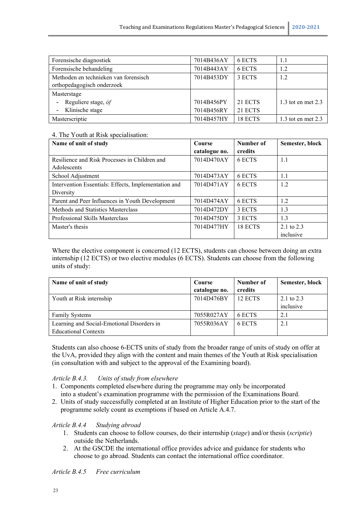| Forensische diagnostiek                         | 7014B436AY | 6 ECTS  | 1.1                    |
|-------------------------------------------------|------------|---------|------------------------|
| Forensische behandeling                         | 7014B443AY | 6 ECTS  | 1.2                    |
| Methoden en technieken van forensisch           | 7014B453DY | 3 ECTS  | 1.2                    |
| orthopedagogisch onderzoek                      |            |         |                        |
| Masterstage                                     |            |         |                        |
| Reguliere stage, óf<br>$\overline{\phantom{a}}$ | 7014B456PY | 21 ECTS | $1.3$ tot en met $2.3$ |
| Klinische stage<br>$\overline{\phantom{a}}$     | 7014B456RY | 21 ECTS |                        |
| Masterscriptie                                  | 7014B457HY | 18 ECTS | 1.3 tot en met $2.3$   |

# 4. The Youth at Risk specialisation:

| Name of unit of study                                | Course<br>catalogue no. | Number of<br>credits | Semester, block |
|------------------------------------------------------|-------------------------|----------------------|-----------------|
| Resilience and Risk Processes in Children and        | 7014D470AY              | 6 ECTS               | 1.1             |
| Adolescents                                          |                         |                      |                 |
| School Adjustment                                    | 7014D473AY              | 6 ECTS               | 1.1             |
| Intervention Essentials: Effects, Implementation and | 7014D471AY              | 6 ECTS               | 1.2             |
| Diversity                                            |                         |                      |                 |
| Parent and Peer Influences in Youth Development      | 7014D474AY              | 6 ECTS               | 1.2             |
| Methods and Statistics Masterclass                   | 7014D472DY              | 3 ECTS               | 1.3             |
| Professional Skills Masterclass                      | 7014D475DY              | 3 ECTS               | 1.3             |
| Master's thesis                                      | 7014D477HY              | 18 ECTS              | 2.1 to $2.3$    |
|                                                      |                         |                      | inclusive       |

Where the elective component is concerned (12 ECTS), students can choose between doing an extra internship (12 ECTS) or two elective modules (6 ECTS). Students can choose from the following units of study:

| Name of unit of study                      | Course        | Number of | Semester, block |
|--------------------------------------------|---------------|-----------|-----------------|
|                                            | catalogue no. | credits   |                 |
| Youth at Risk internship                   | 7014D476BY    | 12 ECTS   | 2.1 to $2.3$    |
|                                            |               |           | inclusive       |
| <b>Family Systems</b>                      | 7055R027AY    | 6 ECTS    | 2.1             |
| Learning and Social-Emotional Disorders in | 7055R036AY    | 6 ECTS    | 2.1             |
| <b>Educational Contexts</b>                |               |           |                 |

Students can also choose 6-ECTS units of study from the broader range of units of study on offer at the UvA, provided they align with the content and main themes of the Youth at Risk specialisation (in consultation with and subject to the approval of the Examining board).

# *Article B.4.3. Units of study from elsewhere*

- 1. Components completed elsewhere during the programme may only be incorporated into a student's examination programme with the permission of the Examinations Board.
- 2. Units of study successfully completed at an Institute of Higher Education prior to the start of the programme solely count as exemptions if based on Article A.4.7.

# *Article B.4.4 Studying abroad*

- 1. Students can choose to follow courses, do their internship (*stage*) and/or thesis (*scriptie*) outside the Netherlands.
- 2. At the GSCDE the international office provides advice and guidance for students who choose to go abroad. Students can contact the international office coordinator.

*Article B.4.5 Free curriculum*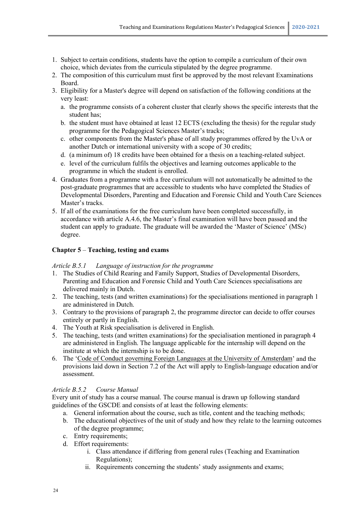- 1. Subject to certain conditions, students have the option to compile a curriculum of their own choice, which deviates from the curricula stipulated by the degree programme.
- 2. The composition of this curriculum must first be approved by the most relevant Examinations Board.
- 3. Eligibility for a Master's degree will depend on satisfaction of the following conditions at the very least:
	- a. the programme consists of a coherent cluster that clearly shows the specific interests that the student has;
	- b. the student must have obtained at least 12 ECTS (excluding the thesis) for the regular study programme for the Pedagogical Sciences Master's tracks;
	- c. other components from the Master's phase of all study programmes offered by the UvA or another Dutch or international university with a scope of 30 credits;
	- d. (a minimum of) 18 credits have been obtained for a thesis on a teaching-related subject.
	- e. level of the curriculum fulfils the objectives and learning outcomes applicable to the programme in which the student is enrolled.
- 4. Graduates from a programme with a free curriculum will not automatically be admitted to the post-graduate programmes that are accessible to students who have completed the Studies of Developmental Disorders, Parenting and Education and Forensic Child and Youth Care Sciences Master's tracks.
- 5. If all of the examinations for the free curriculum have been completed successfully, in accordance with article A.4.6, the Master's final examination will have been passed and the student can apply to graduate. The graduate will be awarded the 'Master of Science' (MSc) degree.

# **Chapter 5** – **Teaching, testing and exams**

# *Article B.5.1 Language of instruction for the programme*

- 1. The Studies of Child Rearing and Family Support, Studies of Developmental Disorders, Parenting and Education and Forensic Child and Youth Care Sciences specialisations are delivered mainly in Dutch.
- 2. The teaching, tests (and written examinations) for the specialisations mentioned in paragraph 1 are administered in Dutch.
- 3. Contrary to the provisions of paragraph 2, the programme director can decide to offer courses entirely or partly in English.
- 4. The Youth at Risk specialisation is delivered in English.
- 5. The teaching, tests (and written examinations) for the specialisation mentioned in paragraph 4 are administered in English. The language applicable for the internship will depend on the institute at which the internship is to be done.
- 6. The ['Code of Conduct governing Foreign Languages at the University of Amsterdam'](http://www.uva.nl/binaries/content/assets/uva/nl/over-de-uva/over-de-uva/regelingen-en-regelementen/gedragscode-vreemde-talen.pdf) and the provisions laid down in Section 7.2 of the Act will apply to English-language education and/or assessment.

# *Article B.5.2 Course Manual*

Every unit of study has a course manual. The course manual is drawn up following standard guidelines of the GSCDE and consists of at least the following elements:

- a. General information about the course, such as title, content and the teaching methods;
- b. The educational objectives of the unit of study and how they relate to the learning outcomes of the degree programme;
- c. Entry requirements;
- d. Effort requirements:
	- i. Class attendance if differing from general rules (Teaching and Examination Regulations);
	- ii. Requirements concerning the students' study assignments and exams;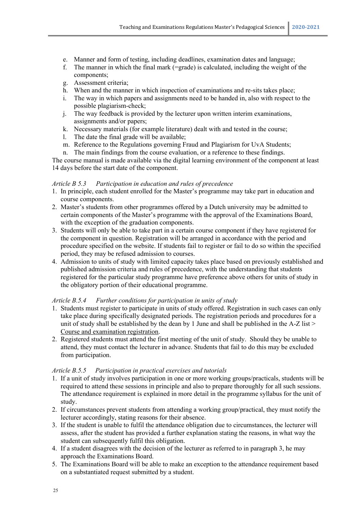- e. Manner and form of testing, including deadlines, examination dates and language;
- f. The manner in which the final mark (=grade) is calculated, including the weight of the components;
- g. Assessment criteria;
- h. When and the manner in which inspection of examinations and re-sits takes place;
- i. The way in which papers and assignments need to be handed in, also with respect to the possible plagiarism-check;
- j. The way feedback is provided by the lecturer upon written interim examinations, assignments and/or papers;
- k. Necessary materials (for example literature) dealt with and tested in the course;
- l. The date the final grade will be available;
- m. Reference to the Regulations governing Fraud and Plagiarism for UvA Students;
- n. The main findings from the course evaluation, or a reference to these findings.

The course manual is made available via the digital learning environment of the component at least 14 days before the start date of the component.

# *Article B 5.3 Participation in education and rules of precedence*

- 1. In principle, each student enrolled for the Master's programme may take part in education and course components.
- 2. Master's students from other programmes offered by a Dutch university may be admitted to certain components of the Master's programme with the approval of the Examinations Board, with the exception of the graduation components.
- 3. Students will only be able to take part in a certain course component if they have registered for the component in question. Registration will be arranged in accordance with the period and procedure specified on the website. If students fail to register or fail to do so within the specified period, they may be refused admission to courses.
- 4. Admission to units of study with limited capacity takes place based on previously established and published admission criteria and rules of precedence, with the understanding that students registered for the particular study programme have preference above others for units of study in the obligatory portion of their educational programme.

# *Article B.5.4 Further conditions for participation in units of study*

- 1. Students must register to participate in units of study offered. Registration in such cases can only take place during specifically designated periods. The registration periods and procedures for a unit of study shall be established by the dean by 1 June and shall be published in the A-Z list > [Course and examination registration.](http://student.uva.nl/mow/az/item/vak-en-tentamenaanmelding.html)
- 2. Registered students must attend the first meeting of the unit of study. Should they be unable to attend, they must contact the lecturer in advance. Students that fail to do this may be excluded from participation.

# *Article B.5.5 Participation in practical exercises and tutorials*

- 1. If a unit of study involves participation in one or more working groups/practicals, students will be required to attend these sessions in principle and also to prepare thoroughly for all such sessions. The attendance requirement is explained in more detail in the programme syllabus for the unit of study.
- 2. If circumstances prevent students from attending a working group/practical, they must notify the lecturer accordingly, stating reasons for their absence.
- 3. If the student is unable to fulfil the attendance obligation due to circumstances, the lecturer will assess, after the student has provided a further explanation stating the reasons, in what way the student can subsequently fulfil this obligation.
- 4. If a student disagrees with the decision of the lecturer as referred to in paragraph 3, he may approach the Examinations Board.
- 5. The Examinations Board will be able to make an exception to the attendance requirement based on a substantiated request submitted by a student.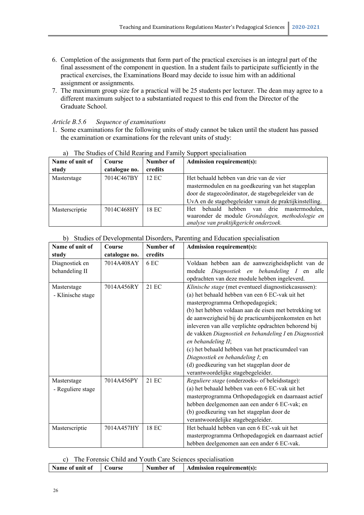- 6. Completion of the assignments that form part of the practical exercises is an integral part of the final assessment of the component in question. In a student fails to participate sufficiently in the practical exercises, the Examinations Board may decide to issue him with an additional assignment or assignments.
- 7. The maximum group size for a practical will be 25 students per lecturer. The dean may agree to a different maximum subject to a substantiated request to this end from the Director of the Graduate School.

# *Article B.5.6 Sequence of examinations*

1. Some examinations for the following units of study cannot be taken until the student has passed the examination or examinations for the relevant units of study:

| a i<br>The bludies of Child Rearing and Failing |               |           | Dupport Specialisation                                  |  |  |
|-------------------------------------------------|---------------|-----------|---------------------------------------------------------|--|--|
| Name of unit of                                 | Course        | Number of | <b>Admission requirement(s):</b>                        |  |  |
| study                                           | catalogue no. | credits   |                                                         |  |  |
| Masterstage                                     | 7014C467BY    | 12 EC     | Het behaald hebben van drie van de vier                 |  |  |
|                                                 |               |           | mastermodulen en na goedkeuring van het stageplan       |  |  |
|                                                 |               |           | door de stagecoördinator, de stagebegeleider van de     |  |  |
|                                                 |               |           | UvA en de stagebegeleider vanuit de praktijkinstelling. |  |  |
| Masterscriptie                                  | 7014C468HY    | 18 EC     | hebben van drie<br>behaald<br>mastermodulen.<br>Het     |  |  |
|                                                 |               |           | waaronder de module Grondslagen, methodologie en        |  |  |
|                                                 |               |           | analyse van praktijkgericht onderzoek.                  |  |  |

# a) The Studies of Child Rearing and Family Support specialisation

# b) Studies of Developmental Disorders, Parenting and Education specialisation

| Name of unit of   | Course        | Number of | <b>Admission requirement(s):</b>                       |  |  |
|-------------------|---------------|-----------|--------------------------------------------------------|--|--|
| study             | catalogue no. | credits   |                                                        |  |  |
| Diagnostiek en    | 7014A408AY    | 6 EC      | Voldaan hebben aan de aanwezigheidsplicht van de       |  |  |
| behandeling II    |               |           | Diagnostiek en behandeling I en alle<br>module         |  |  |
|                   |               |           | opdrachten van deze module hebben ingeleverd.          |  |  |
| Masterstage       | 7014A456RY    | 21 EC     | Klinische stage (met eventueel diagnostiekcasussen):   |  |  |
| - Klinische stage |               |           | (a) het behaald hebben van een 6 EC-vak uit het        |  |  |
|                   |               |           | masterprogramma Orthopedagogiek;                       |  |  |
|                   |               |           | (b) het hebben voldaan aan de eisen met betrekking tot |  |  |
|                   |               |           | de aanwezigheid bij de practicumbijeenkomsten en het   |  |  |
|                   |               |           | inleveren van alle verplichte opdrachten behorend bij  |  |  |
|                   |               |           | de vakken Diagnostiek en behandeling I en Diagnostiek  |  |  |
|                   |               |           | en behandeling II;                                     |  |  |
|                   |               |           | (c) het behaald hebben van het practicumdeel van       |  |  |
|                   |               |           | Diagnostiek en behandeling I; en                       |  |  |
|                   |               |           | (d) goedkeuring van het stageplan door de              |  |  |
|                   |               |           | verantwoordelijke stagebegeleider.                     |  |  |
| Masterstage       | 7014A456PY    | 21 EC     | Reguliere stage (onderzoeks- of beleidsstage):         |  |  |
| - Reguliere stage |               |           | (a) het behaald hebben van een 6 EC-vak uit het        |  |  |
|                   |               |           | masterprogramma Orthopedagogiek en daarnaast actief    |  |  |
|                   |               |           | hebben deelgenomen aan een ander 6 EC-vak; en          |  |  |
|                   |               |           | (b) goedkeuring van het stageplan door de              |  |  |
|                   |               |           | verantwoordelijke stagebegeleider.                     |  |  |
| Masterscriptie    | 7014A457HY    | 18 EC     | Het behaald hebben van een 6 EC-vak uit het            |  |  |
|                   |               |           | masterprogramma Orthopedagogiek en daarnaast actief    |  |  |
|                   |               |           | hebben deelgenomen aan een ander 6 EC-vak.             |  |  |

# c) The Forensic Child and Youth Care Sciences specialisation

| Number of<br>Name of unit of<br>Admission requirement(s):<br>Course |  |
|---------------------------------------------------------------------|--|
|---------------------------------------------------------------------|--|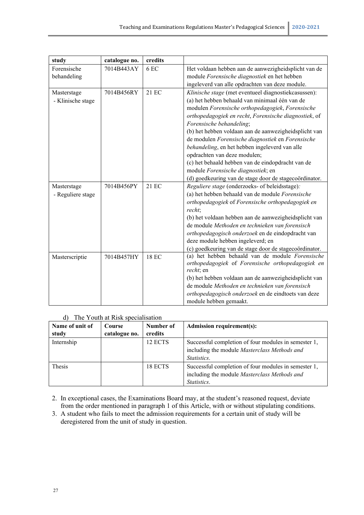| study             | catalogue no. | credits |                                                                                                       |
|-------------------|---------------|---------|-------------------------------------------------------------------------------------------------------|
| Forensische       | 7014B443AY    | 6 EC    | Het voldaan hebben aan de aanwezigheidsplicht van de                                                  |
| behandeling       |               |         | module Forensische diagnostiek en het hebben                                                          |
|                   |               |         | ingeleverd van alle opdrachten van deze module.                                                       |
| Masterstage       | 7014B456RY    | 21 EC   | Klinische stage (met eventueel diagnostiekcasussen):                                                  |
| - Klinische stage |               |         | (a) het hebben behaald van minimaal één van de                                                        |
|                   |               |         | modulen Forensische orthopedagogiek, Forensische                                                      |
|                   |               |         | orthopedagogiek en recht, Forensische diagnostiek, of                                                 |
|                   |               |         | Forensische behandeling;                                                                              |
|                   |               |         | (b) het hebben voldaan aan de aanwezigheidsplicht van                                                 |
|                   |               |         | de modulen Forensische diagnostiek en Forensische                                                     |
|                   |               |         | behandeling, en het hebben ingeleverd van alle                                                        |
|                   |               |         | opdrachten van deze modulen;                                                                          |
|                   |               |         | (c) het behaald hebben van de eindopdracht van de                                                     |
|                   |               |         | module Forensische diagnostiek; en                                                                    |
|                   |               |         | (d) goedkeuring van de stage door de stagecoördinator.                                                |
| Masterstage       | 7014B456PY    | 21 EC   | Reguliere stage (onderzoeks- of beleidsstage):                                                        |
| - Reguliere stage |               |         | (a) het hebben behaald van de module Forensische                                                      |
|                   |               |         | orthopedagogiek of Forensische orthopedagogiek en                                                     |
|                   |               |         | recht:                                                                                                |
|                   |               |         | (b) het voldaan hebben aan de aanwezigheidsplicht van                                                 |
|                   |               |         | de module Methoden en technieken van forensisch                                                       |
|                   |               |         | orthopedagogisch onderzoek en de eindopdracht van                                                     |
|                   |               |         | deze module hebben ingeleverd; en                                                                     |
|                   |               |         | (c) goedkeuring van de stage door de stagecoördinator.                                                |
| Masterscriptie    | 7014B457HY    | 18 EC   | (a) het hebben behaald van de module Forensische<br>orthopedagogiek of Forensische orthopedagogiek en |
|                   |               |         | recht; en                                                                                             |
|                   |               |         | (b) het hebben voldaan aan de aanwezigheidsplicht van                                                 |
|                   |               |         | de module Methoden en technieken van forensisch                                                       |
|                   |               |         | orthopedagogisch onderzoek en de eindtoets van deze                                                   |
|                   |               |         | module hebben gemaakt.                                                                                |

# d) The Youth at Risk specialisation

| Name of unit of | Course        | Number of | <b>Admission requirement(s):</b>                                                                                           |
|-----------------|---------------|-----------|----------------------------------------------------------------------------------------------------------------------------|
| study           | catalogue no. | credits   |                                                                                                                            |
| Internship      |               | 12 ECTS   | Successful completion of four modules in semester 1,<br>including the module Masterclass Methods and<br><i>Statistics.</i> |
| <b>Thesis</b>   |               | 18 ECTS   | Successful completion of four modules in semester 1,<br>including the module Masterclass Methods and<br><i>Statistics.</i> |

2. In exceptional cases, the Examinations Board may, at the student's reasoned request, deviate from the order mentioned in paragraph 1 of this Article, with or without stipulating conditions.

3. A student who fails to meet the admission requirements for a certain unit of study will be deregistered from the unit of study in question.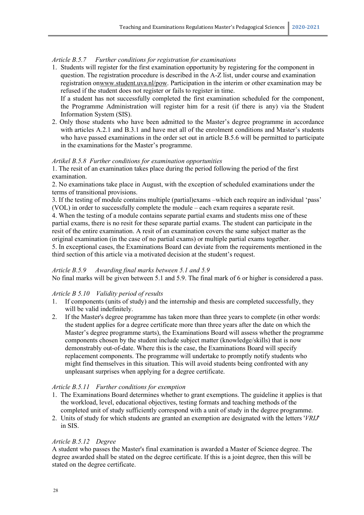#### *Article B.5.7 Further conditions for registration for examinations*

1. Students will register for the first examination opportunity by registering for the component in question. The registration procedure is described in the A-Z list, under course and examination registration onwww.student.uva.nl/pow. Participation in the interim or other examination may be refused if the student does not register or fails to register in time. If a student has not successfully completed the first examination scheduled for the component,

the Programme Administration will register him for a resit (if there is any) via the Student Information System (SIS).

2. Only those students who have been admitted to the Master's degree programme in accordance with articles A.2.1 and B.3.1 and have met all of the enrolment conditions and Master's students who have passed examinations in the order set out in article B.5.6 will be permitted to participate in the examinations for the Master's programme.

#### *Artikel B.5.8 Further conditions for examination opportunities*

1. The resit of an examination takes place during the period following the period of the first examination.

2. No examinations take place in August, with the exception of scheduled examinations under the terms of transitional provisions.

3. If the testing of module contains multiple (partial)exams –which each require an individual 'pass' (VOL) in order to successfully complete the module – each exam requires a separate resit. 4. When the testing of a module contains separate partial exams and students miss one of these partial exams, there is no resit for these separate partial exams. The student can participate in the

resit of the entire examination. A resit of an examination covers the same subject matter as the original examination (in the case of no partial exams) or multiple partial exams together.

5. In exceptional cases, the Examinations Board can deviate from the requirements mentioned in the third section of this article via a motivated decision at the student's request.

#### *Article B.5.9 Awarding final marks between 5.1 and 5.9*

No final marks will be given between 5.1 and 5.9. The final mark of 6 or higher is considered a pass.

#### *Article B 5.10 Validity period of results*

- 1. If components (units of study) and the internship and thesis are completed successfully, they will be valid indefinitely.
- 2. If the Master's degree programme has taken more than three years to complete (in other words: the student applies for a degree certificate more than three years after the date on which the Master's degree programme starts), the Examinations Board will assess whether the programme components chosen by the student include subject matter (knowledge/skills) that is now demonstrably out-of-date. Where this is the case, the Examinations Board will specify replacement components. The programme will undertake to promptly notify students who might find themselves in this situation. This will avoid students being confronted with any unpleasant surprises when applying for a degree certificate.

#### *Article B.5.11 Further conditions for exemption*

- 1. The Examinations Board determines whether to grant exemptions. The guideline it applies is that the workload, level, educational objectives, testing formats and teaching methods of the completed unit of study sufficiently correspond with a unit of study in the degree programme.
- 2. Units of study for which students are granted an exemption are designated with the letters '*VRIJ*' in SIS.

#### *Article B.5.12 Degree*

A student who passes the Master's final examination is awarded a Master of Science degree. The degree awarded shall be stated on the degree certificate. If this is a joint degree, then this will be stated on the degree certificate.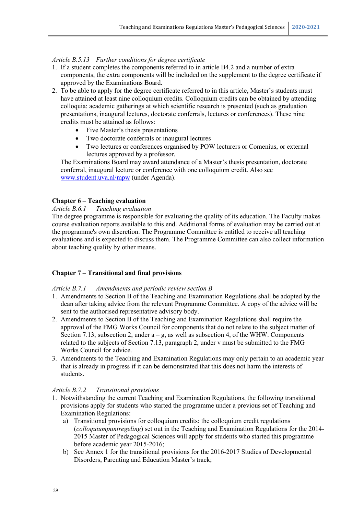#### *Article B.5.13 Further conditions for degree certificate*

- 1. If a student completes the components referred to in article B4.2 and a number of extra components, the extra components will be included on the supplement to the degree certificate if approved by the Examinations Board.
- 2. To be able to apply for the degree certificate referred to in this article, Master's students must have attained at least nine colloquium credits. Colloquium credits can be obtained by attending colloquia: academic gatherings at which scientific research is presented (such as graduation presentations, inaugural lectures, doctorate conferrals, lectures or conferences). These nine credits must be attained as follows:
	- Five Master's thesis presentations
	- Two doctorate conferrals or inaugural lectures
	- Two lectures or conferences organised by POW lecturers or Comenius, or external lectures approved by a professor.

The Examinations Board may award attendance of a Master's thesis presentation, doctorate conferral, inaugural lecture or conference with one colloquium credit. Also see [www.student.uva.nl/mpw](file://home.uva.nl/wwilgen1/Mijn%20documenten/OER/OER%20voor%202018-2019/OER%20POW/Concept-OER%20Pedagogische%20Wetenschappen/www.student.uva.nl/mpw) (under Agenda).

#### **Chapter 6** – **Teaching evaluation**

#### *Article B.6.1 Teaching evaluation*

The degree programme is responsible for evaluating the quality of its education. The Faculty makes course evaluation reports available to this end. Additional forms of evaluation may be carried out at the programme's own discretion. The Programme Committee is entitled to receive all teaching evaluations and is expected to discuss them. The Programme Committee can also collect information about teaching quality by other means.

#### **Chapter 7** – **Transitional and final provisions**

#### *Article B.7.1 Amendments and periodic review section B*

- 1. Amendments to Section B of the Teaching and Examination Regulations shall be adopted by the dean after taking advice from the relevant Programme Committee. A copy of the advice will be sent to the authorised representative advisory body.
- 2. Amendments to Section B of the Teaching and Examination Regulations shall require the approval of the FMG Works Council for components that do not relate to the subject matter of Section 7.13, subsection 2, under  $a - g$ , as well as subsection 4, of the WHW. Components related to the subjects of Section 7.13, paragraph 2, under v must be submitted to the FMG Works Council for advice.
- 3. Amendments to the Teaching and Examination Regulations may only pertain to an academic year that is already in progress if it can be demonstrated that this does not harm the interests of students.

#### *Article B.7.2 Transitional provisions*

- 1. Notwithstanding the current Teaching and Examination Regulations, the following transitional provisions apply for students who started the programme under a previous set of Teaching and Examination Regulations:
	- a) Transitional provisions for colloquium credits: the colloquium credit regulations (*colloquiumpuntregeling*) set out in the Teaching and Examination Regulations for the 2014- 2015 Master of Pedagogical Sciences will apply for students who started this programme before academic year 2015-2016;
	- b) See Annex 1 for the transitional provisions for the 2016-2017 Studies of Developmental Disorders, Parenting and Education Master's track;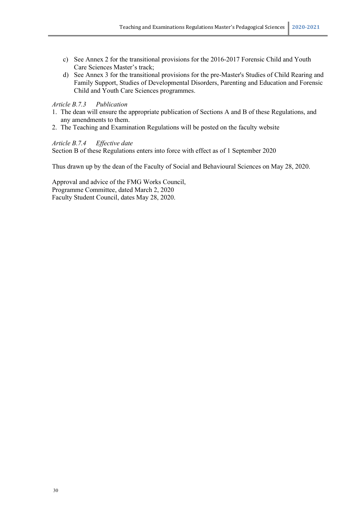- c) See Annex 2 for the transitional provisions for the 2016-2017 Forensic Child and Youth Care Sciences Master's track;
- d) See Annex 3 for the transitional provisions for the pre-Master's Studies of Child Rearing and Family Support, Studies of Developmental Disorders, Parenting and Education and Forensic Child and Youth Care Sciences programmes.

# *Article B.7.3 Publication*

- 1. The dean will ensure the appropriate publication of Sections A and B of these Regulations, and any amendments to them.
- 2. The Teaching and Examination Regulations will be posted on the faculty website

# *Article B.7.4 Effective date*

Section B of these Regulations enters into force with effect as of 1 September 2020

Thus drawn up by the dean of the Faculty of Social and Behavioural Sciences on May 28, 2020.

Approval and advice of the FMG Works Council, Programme Committee, dated March 2, 2020 Faculty Student Council, dates May 28, 2020.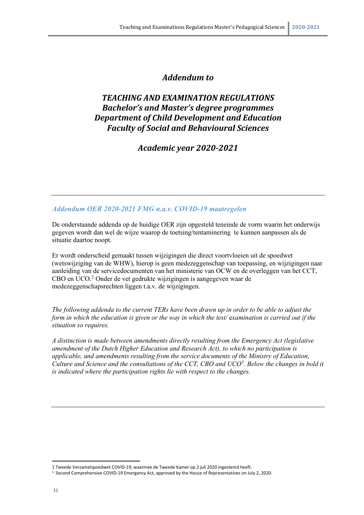# *Addendum to*

# *TEACHING AND EXAMINATION REGULATIONS Bachelor's and Master's degree programmes Department of Child Development and Education Faculty of Social and Behavioural Sciences*

*Academic year 2020-2021*

# *Addendum OER 2020-2021 FMG n.a.v. COVID-19 maatregelen*

De onderstaande addenda op de huidige OER zijn opgesteld teneinde de vorm waarin het onderwijs gegeven wordt dan wel de wijze waarop de toetsing/tentaminering te kunnen aanpassen als de situatie daartoe noopt.

Er wordt onderscheid gemaakt tussen wijzigingen die direct voortvloeien uit de spoedwet (wetswijziging van de WHW), hierop is geen medezeggenschap van toepassing, en wijzigingen naar aanleiding van de servicedocumenten van het ministerie van OCW en de overleggen van het CCT, CBO en UCO.[2](#page-30-0) Onder de vet gedrukte wijzigingen is aangegeven waar de medezeggenschapsrechten liggen t.a.v. de wijzigingen.

*The following addenda to the current TERs have been drawn up in order to be able to adjust the form in which the education is given or the way in which the test/* e*xamination is carried out if the situation so requires.* 

*A distinction is made between amendments directly resulting from the Emergency Act (legislative amendment of the Dutch Higher Education and Research Act), to which no participation is applicable, and amendments resulting from the service documents of the Ministry of Education, Culture and Science and the consultations of the CCT, CBO and UCO[3](#page-30-1) . Below the changes in bold it is indicated where the participation rights lie with respect to the changes.*

<span id="page-30-1"></span><span id="page-30-0"></span><sup>1</sup> Tweede Verzamelspoedwet COVID-19, waarmee de Tweede Kamer op 2 juli 2020 ingestemd heeft.<br><sup>3</sup> Second Comprehensive COVID-19 Emergency Act, approved by the House of Representatives on July 2, 2020.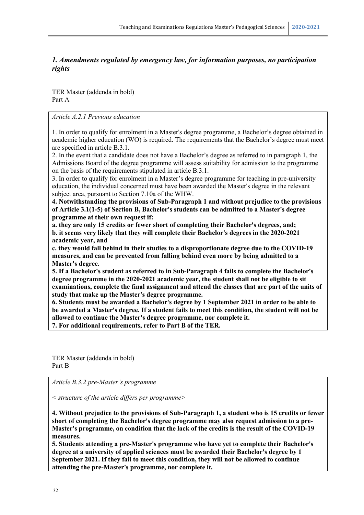# *1. Amendments regulated by emergency law, for information purposes, no participation rights*

TER Master (addenda in bold) Part A

*Article A.2.1 Previous education*

1. In order to qualify for enrolment in a Master's degree programme, a Bachelor's degree obtained in academic higher education (WO) is required. The requirements that the Bachelor's degree must meet are specified in article B.3.1.

2. In the event that a candidate does not have a Bachelor's degree as referred to in paragraph 1, the Admissions Board of the degree programme will assess suitability for admission to the programme on the basis of the requirements stipulated in article B.3.1.

3. In order to qualify for enrolment in a Master's degree programme for teaching in pre-university education, the individual concerned must have been awarded the Master's degree in the relevant subject area, pursuant to Section 7.10a of the WHW.

**4. Notwithstanding the provisions of Sub-Paragraph 1 and without prejudice to the provisions of Article 3.1(1-5) of Section B, Bachelor's students can be admitted to a Master's degree programme at their own request if:** 

**a. they are only 15 credits or fewer short of completing their Bachelor's degrees, and; b. it seems very likely that they will complete their Bachelor's degrees in the 2020-2021 academic year, and** 

**c. they would fall behind in their studies to a disproportionate degree due to the COVID-19 measures, and can be prevented from falling behind even more by being admitted to a Master's degree.**

**5. If a Bachelor's student as referred to in Sub-Paragraph 4 fails to complete the Bachelor's degree programme in the 2020-2021 academic year, the student shall not be eligible to sit examinations, complete the final assignment and attend the classes that are part of the units of study that make up the Master's degree programme.**

**6. Students must be awarded a Bachelor's degree by 1 September 2021 in order to be able to be awarded a Master's degree. If a student fails to meet this condition, the student will not be allowed to continue the Master's degree programme, nor complete it.**

**7. For additional requirements, refer to Part B of the TER.**

TER Master (addenda in bold) Part B

*Article B.3.2 pre-Master's programme*

*< structure of the article differs per programme>*

**4. Without prejudice to the provisions of Sub-Paragraph 1, a student who is 15 credits or fewer short of completing the Bachelor's degree programme may also request admission to a pre-Master's programme, on condition that the lack of the credits is the result of the COVID-19 measures.**

**5. Students attending a pre-Master's programme who have yet to complete their Bachelor's degree at a university of applied sciences must be awarded their Bachelor's degree by 1 September 2021. If they fail to meet this condition, they will not be allowed to continue attending the pre-Master's programme, nor complete it.**